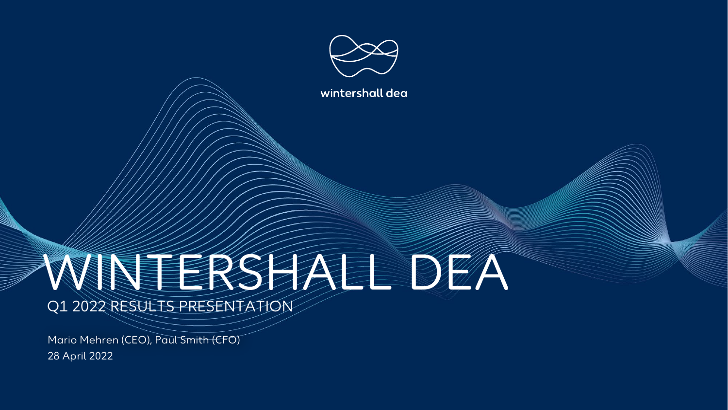

wintershall dea

# WINTERSHALL

Q1 2022 RESULTS PRESENTATION

28 April 2022 Mario Mehren (CEO), Paul Smith (CFO)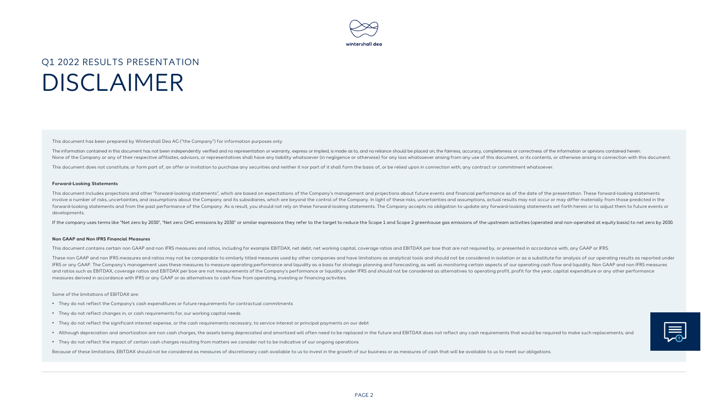

#### Q1 2022 RESULTS PRESENTATION DISCLAIMER

This document has been prepared by Wintershall Dea AG ("the Company") for information purposes only.

The information contained in this document has not been independently verified and no representation or warranty, express or implied, is made as to, and no reliance should be placed on, the fairness, accuracy, completeness None of the Company or any of their respective affiliates, advisors, or representatives shall have any liability whatsoever (in negligence or otherwise) for any loss whatsoever arising from any use of this document, or its

This document does not constitute, or form part of, an offer or invitation to purchase any securities and neither it nor part of it shall form the basis of, or be relied upon in connection with, any contract or commitment

#### **Forward-Looking Statements**

This document includes projections and other "forward-looking statements", which are based on expectations of the Company's management and projections about future events and financial performance as of the date of the pre involve a number of risks, uncertainties, and assumptions about the Company and its subsidiaries, which are beyond the control of the Company. In light of these risks, uncertainties and assumptions, actual results may not forward-looking statements and from the past performance of the Company. As a result, you should not rely on these forward-looking statements. The Company accepts no obligation to update any forward-looking statements set developments.

If the company uses terms like "Net zero by 2030", "Net zero GHG emissions by 2030" or similar expressions they refer to the target to reduce the Scope 1 and Scope 2 greenhouse gas emissions of the upstream activities (ope

#### **Non GAAP and Non IFRS Financial Measures**

This document contains certain non GAAP and non IFRS measures and ratios, including for example EBITDAX, net debt, net working capital, coverage ratios and EBITDAX per boe that are not required by, or presented in accordan

These non GAAP and non IFRS measures and ratios may not be comparable to similarly titled measures used by other companies and have limitations as analytical tools and should not be considered in isolation or as a substitu IFRS or any GAAP. The Company's management uses these measures to measure operating performance and liquidity as a basis for strategic planning and forecasting, as well as monitoring certain aspects of our operating cash f and ratios such as EBITDAX, coverage ratios and EBITDAX per boe are not measurements of the Company's performance or liquidity under IFRS and should not be considered as alternatives to operating profit, profit for the yea measures derived in accordance with IFRS or any GAAP or as alternatives to cash flow from operating, investing or financing activities.

#### Some of the limitations of EBITDAX are:

- They do not reflect the Company's cash expenditures or future requirements for contractual commitments
- They do not reflect changes in, or cash requirements for, our working capital needs
- They do not reflect the significant interest expense, or the cash requirements necessary, to service interest or principal payments on our debt
- . Although depreciation and amortization are non cash charges, the assets being depreciated and amortized will often need to be replaced in the future and EBITDAX does not reflect any cash requirements that would be requir
- They do not reflect the impact of certain cash charges resulting from matters we consider not to be indicative of our ongoing operations

Because of these limitations, EBITDAX should not be considered as measures of discretionary cash available to us to invest in the growth of our business or as measures of cash that will be available to us to meet our oblig

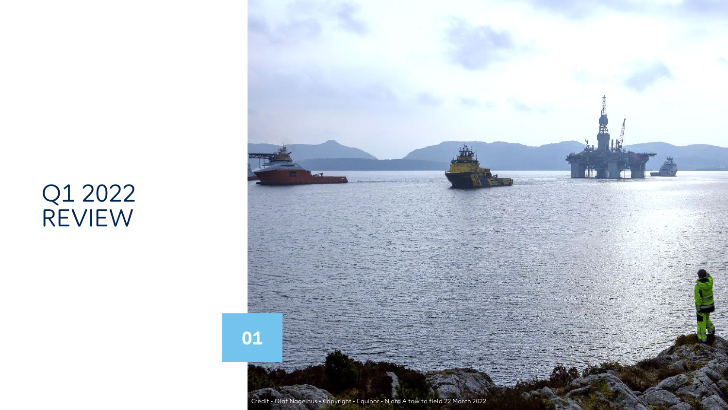# Q1 2022 REVIEW

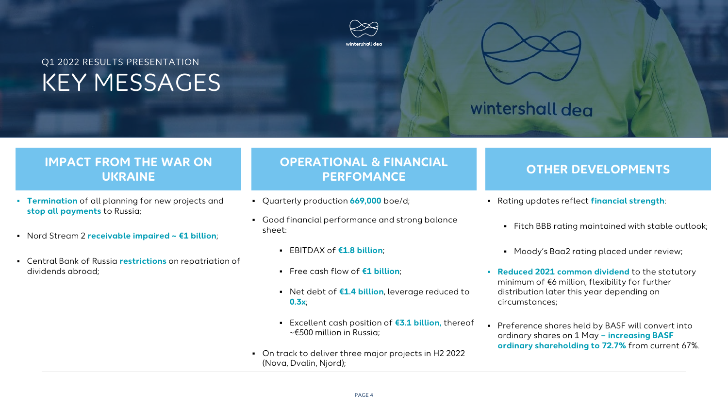### Q1 2022 RESULTS PRESENTATION KEY MESSAGES





#### **IMPACT FROM THE WAR ON UKRAINE**

- **Termination** of all planning for new projects and **stop all payments** to Russia;
- Nord Stream 2 **receivable impaired ~ €1 billion**;
- Central Bank of Russia **restrictions** on repatriation of dividends abroad;

#### **OPERATIONAL & FINANCIAL PERFOMANCE OTHER DEVELOPMENTS**

- Quarterly production **669,000** boe/d;
- Good financial performance and strong balance sheet:
	- EBITDAX of **€1.8 billion**;
	- Free cash flow of **€1 billion**;
	- Net debt of **€1.4 billion**, leverage reduced to **0.3x**;
	- Excellent cash position of **€3.1 billion,** thereof ~€500 million in Russia;
- On track to deliver three major projects in H2 2022 (Nova, Dvalin, Njord);

- Rating updates reflect **financial strength**:
	- Fitch BBB rating maintained with stable outlook;
	- Moody's Baa2 rating placed under review;
- **Reduced 2021 common dividend** to the statutory minimum of €6 million, flexibility for further distribution later this year depending on circumstances;
- Preference shares held by BASF will convert into ordinary shares on 1 May **– increasing BASF ordinary shareholding to 72.7%** from current 67%.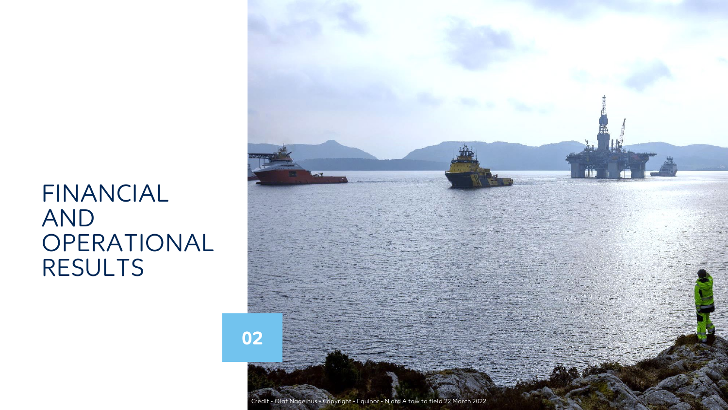# FINANCIAL AND OPERATIONAL RESULTS

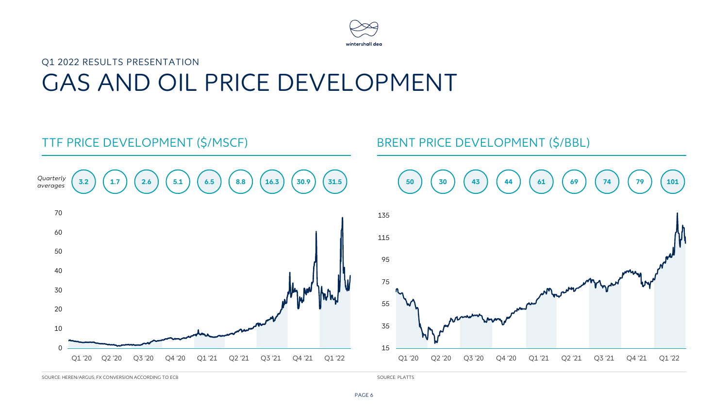

# Q1 2022 RESULTS PRESENTATION GAS AND OIL PRICE DEVELOPMENT



SOURCE: HEREN/ARGUS; FX CONVERSION ACCORDING TO ECB

SOURCE: PLATTS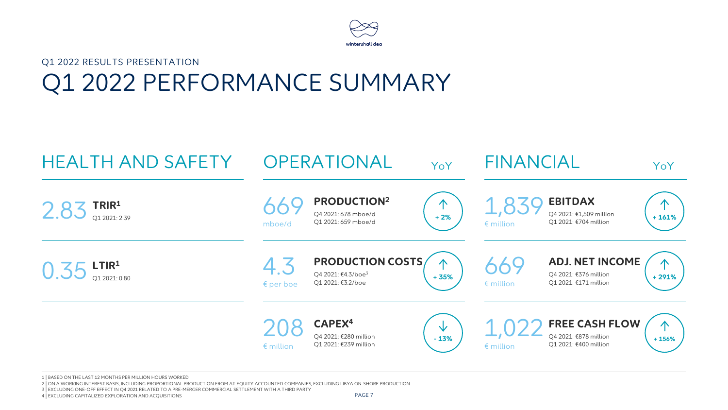

# Q1 2022 RESULTS PRESENTATION Q1 2022 PERFORMANCE SUMMARY



1 | BASED ON THE LAST 12 MONTHS PER MILLION HOURS WORKED

2 | ON A WORKING INTEREST BASIS, INCLUDING PROPORTIONAL PRODUCTION FROM AT EQUITY ACCOUNTED COMPANIES, EXCLUDING LIBYA ON-SHORE PRODUCTION

3 | EXCLUDING ONE-OFF EFFECT IN Q4 2021 RELATED TO A PRE-MERGER COMMERCIAL SETTLEMENT WITH A THIRD PARTY

4 | EXCLUDING CAPITALIZED EXPLORATION AND ACQUISITIONS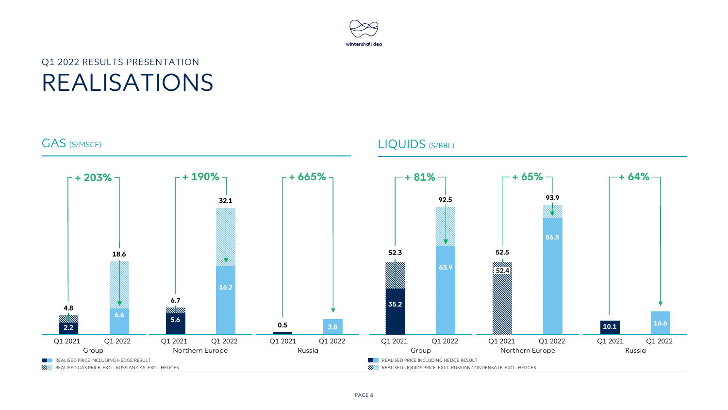

#### Q1 2022 RESULTS PRESENTATION REALISATIONS

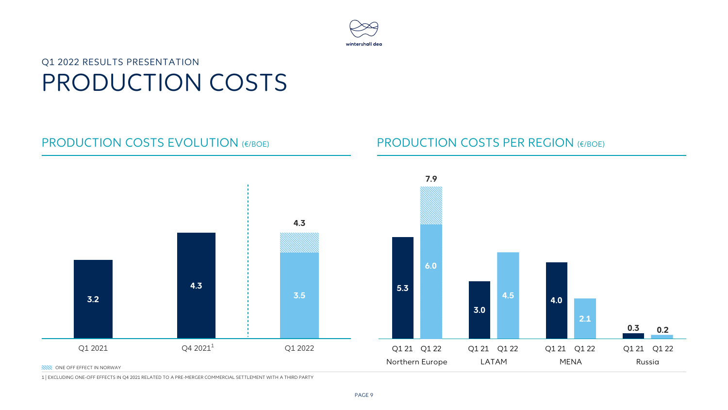

#### Q1 2022 RESULTS PRESENTATION PRODUCTION COSTS

#### PRODUCTION COSTS EVOLUTION (€/BOE) PRODUCTION COSTS PER REGION (€/BOE)



1 | EXCLUDING ONE-OFF EFFECTS IN Q4 2021 RELATED TO A PRE-MERGER COMMERCIAL SETTLEMENT WITH A THIRD PARTY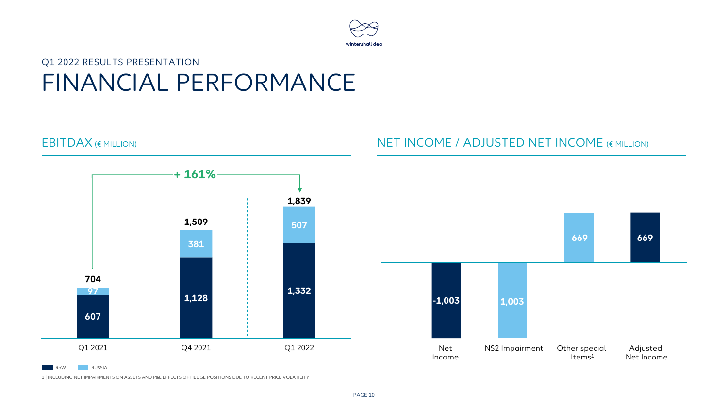

### Q1 2022 RESULTS PRESENTATION FINANCIAL PERFORMANCE



#### EBITDAX (€ MILLION) NET INCOME / ADJUSTED NET INCOME (€ MILLION)



1 | INCLUDING NET IMPAIRMENTS ON ASSETS AND P&L EFFECTS OF HEDGE POSITIONS DUE TO RECENT PRICE VOLATILITY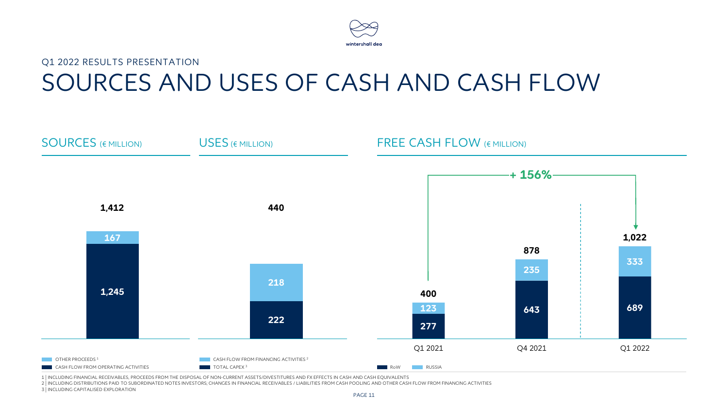

### Q1 2022 RESULTS PRESENTATION SOURCES AND USES OF CASH AND CASH FLOW



1 | INCLUDING FINANCIAL RECEIVABLES, PROCEEDS FROM THE DISPOSAL OF NON-CURRENT ASSETS/DIVESTITURES AND FX EFFECTS IN CASH AND CASH EQUIVALENTS

2 | INCLUDING DISTRIBUTIONS PAID TO SUBORDINATED NOTES INVESTORS; CHANGES IN FINANCIAL RECEIVABLES / LIABILITIES FROM CASH POOLING AND OTHER CASH FLOW FROM FINANCING ACTIVITIES 3 | INCLUDING CAPITALISED EXPLORATION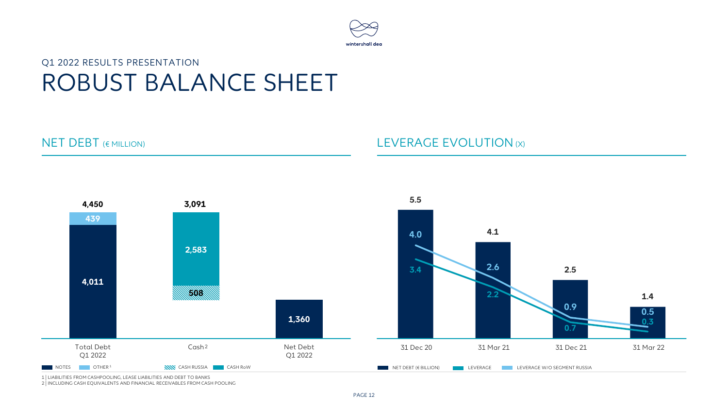

### ROBUST BALANCE SHEET Q1 2022 RESULTS PRESENTATION

#### NET DEBT (€ MILLION) And the COLUTION (X) LEVERAGE EVOLUTION (X)



1 | LIABILITIES FROM CASHPOOLING, LEASE LIABILITIES AND DEBT TO BANKS

2 | INCLUDING CASH EQUIVALENTS AND FINANCIAL RECEIVABLES FROM CASH POOLING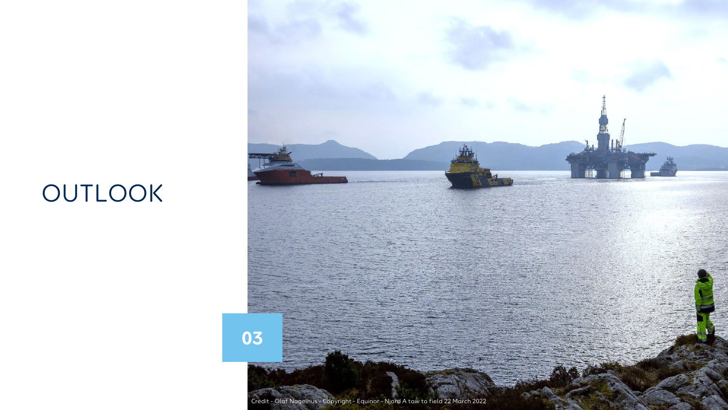# OUTLOOK

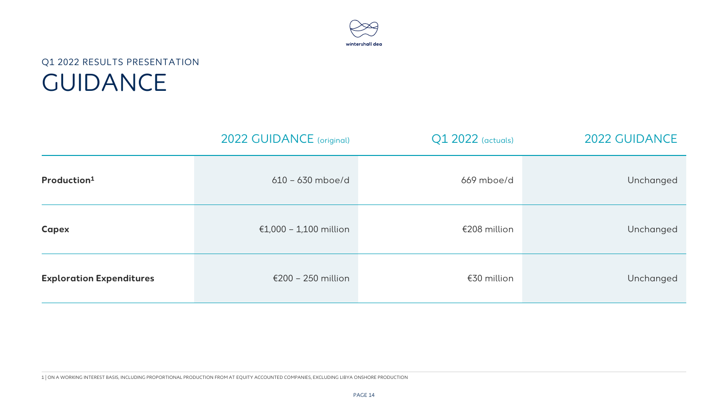

#### Q1 2022 RESULTS PRESENTATION GUIDANCE

|                                 | 2022 GUIDANCE (original) | Q1 2022 (actuals) | 2022 GUIDANCE |
|---------------------------------|--------------------------|-------------------|---------------|
| Production <sup>1</sup>         | $610 - 630$ mboe/d       | 669 mboe/d        | Unchanged     |
| <b>Capex</b>                    | €1,000 - 1,100 million   | €208 million      | Unchanged     |
| <b>Exploration Expenditures</b> | €200 - 250 million       | $£30$ million     | Unchanged     |

1 | ON A WORKING INTEREST BASIS, INCLUDING PROPORTIONAL PRODUCTION FROM AT EQUITY ACCOUNTED COMPANIES, EXCLUDING LIBYA ONSHORE PRODUCTION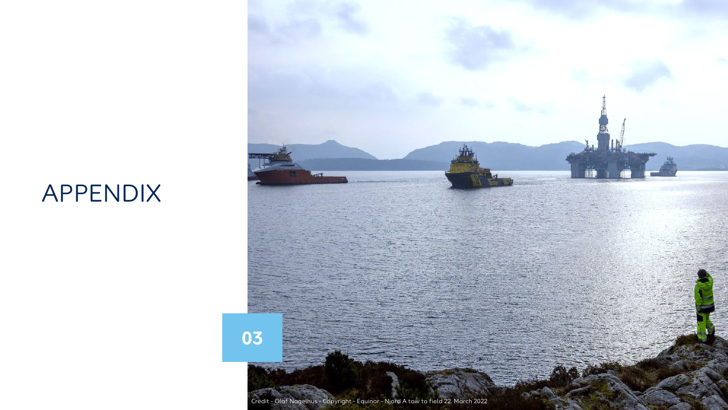# APPENDIX

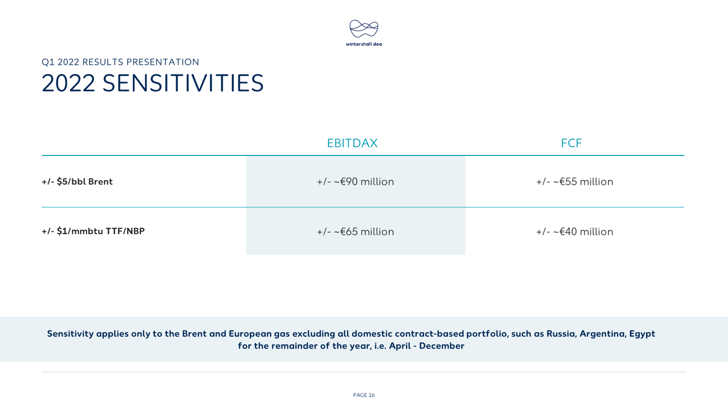

### 2022 SENSITIVITIES Q1 2022 RESULTS PRESENTATION

|                       | <b>EBITDAX</b>                                     | <b>FCF</b>                     |
|-----------------------|----------------------------------------------------|--------------------------------|
| +/- \$5/bbl Brent     | $+/- \sim \epsilon$ 90 million<br>+/- ~€55 million |                                |
| +/- \$1/mmbtu TTF/NBP | $+/-$ ~ $\epsilon$ 65 million                      | $+/- \sim \epsilon$ 40 million |

**Sensitivity applies only to the Brent and European gas excluding all domestic contract-based portfolio, such as Russia, Argentina, Egypt for the remainder of the year, i.e. April - December**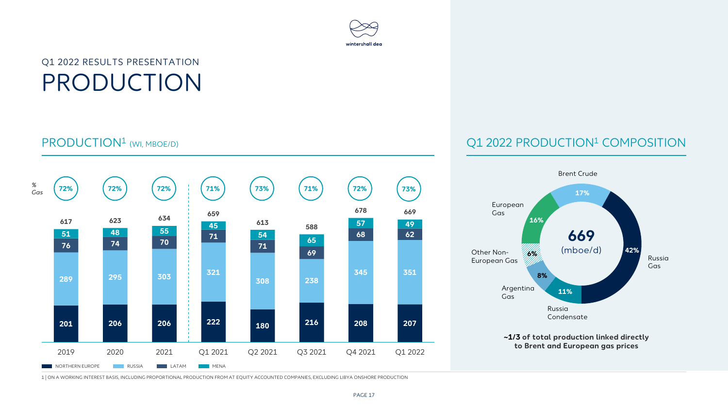# wintershall dea

### Q1 2022 RESULTS PRESENTATION PRODUCTION



#### PRODUCTION1 (WI, MBOE/D) Q1 2022 PRODUCTION1 COMPOSITION



1 | ON A WORKING INTEREST BASIS, INCLUDING PROPORTIONAL PRODUCTION FROM AT EQUITY ACCOUNTED COMPANIES, EXCLUDING LIBYA ONSHORE PRODUCTION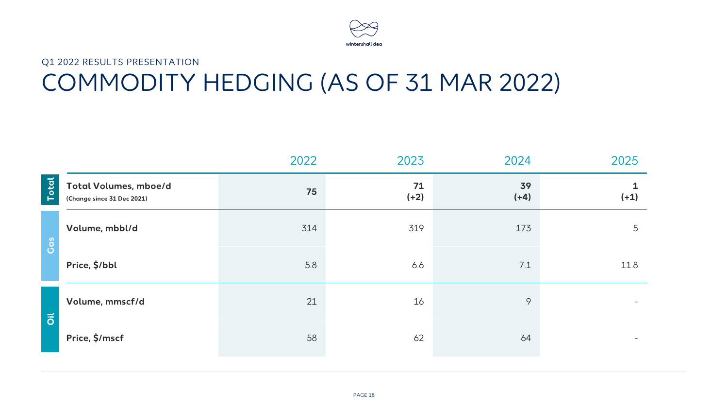

## Q1 2022 RESULTS PRESENTATION COMMODITY HEDGING (AS OF 31 MAR 2022)

|                           |                                                     | 2022 | 2023         | 2024         | 2025   |
|---------------------------|-----------------------------------------------------|------|--------------|--------------|--------|
| Total                     | Total Volumes, mboe/d<br>(Change since 31 Dec 2021) | 75   | 71<br>$(+2)$ | 39<br>$(+4)$ | $(+1)$ |
| Cas                       | Volume, mbbl/d                                      | 314  | 319          | 173          | 5      |
|                           | Price, \$/bbl                                       | 5.8  | 6.6          | 7.1          | 11.8   |
| $\overline{\overline{o}}$ | Volume, mmscf/d                                     | 21   | 16           | 9            |        |
|                           | Price, \$/mscf                                      | 58   | 62           | 64           |        |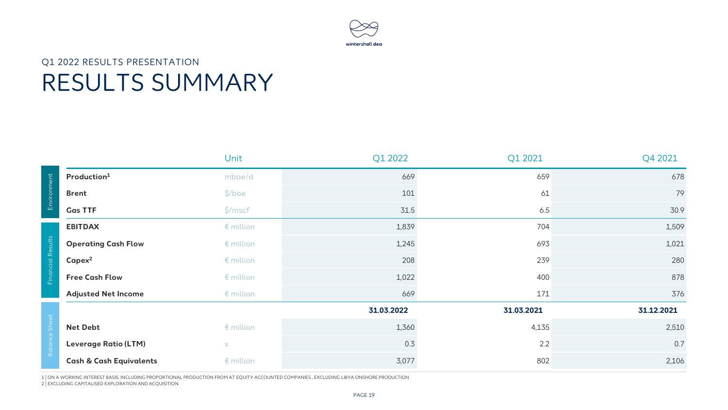

# Q1 2022 RESULTS PRESENTATION RESULTS SUMMARY

|                   |                                    | Unit             | Q1 2022    | Q1 2021    | Q4 2021    |
|-------------------|------------------------------------|------------------|------------|------------|------------|
|                   | Production <sup>1</sup>            | mboe/d           | 669        | 659        | 678        |
| Environment       | <b>Brent</b>                       | $$/$ boe         | 101        | 61         | 79         |
|                   | <b>Gas TTF</b>                     | \$/mscf          | 31.5       | 6.5        | 30.9       |
|                   | <b>EBITDAX</b>                     | $\n  emillion\n$ | 1,839      | 704        | 1,509      |
| Financial Results | <b>Operating Cash Flow</b>         | $\n  emillion\n$ | 1,245      | 693        | 1,021      |
|                   | $Capex^2$                          | $\n  emillion\n$ | 208        | 239        | 280        |
|                   | <b>Free Cash Flow</b>              | $\n  emillion\n$ | 1,022      | 400        | 878        |
|                   | <b>Adjusted Net Income</b>         | $\n  emillion\n$ | 669        | 171        | 376        |
|                   |                                    |                  | 31.03.2022 | 31.03.2021 | 31.12.2021 |
| Shei              | <b>Net Debt</b>                    | $\n  emillion\n$ | 1,360      | 4,135      | 2,510      |
| <b>Balance</b>    | <b>Leverage Ratio (LTM)</b>        | $\times$         | 0.3        | 2.2        | 0.7        |
|                   | <b>Cash &amp; Cash Equivalents</b> | $\n  emillion\n$ | 3,077      | 802        | 2,106      |

1 | ON A WORKING INTEREST BASIS, INCLUDING PROPORTIONAL PRODUCTION FROM AT EQUITY ACCOUNTED COMPANIES , EXCLUDING LIBYA ONSHORE PRODUCTION 2 | EXCLUDING CAPITALISED EXPLORATION AND ACQUISITION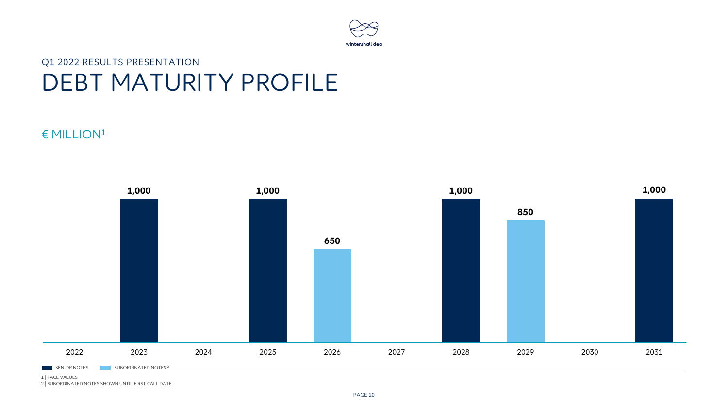

### Q1 2022 RESULTS PRESENTATION DEBT MATURITY PROFILE

#### € MILLION1